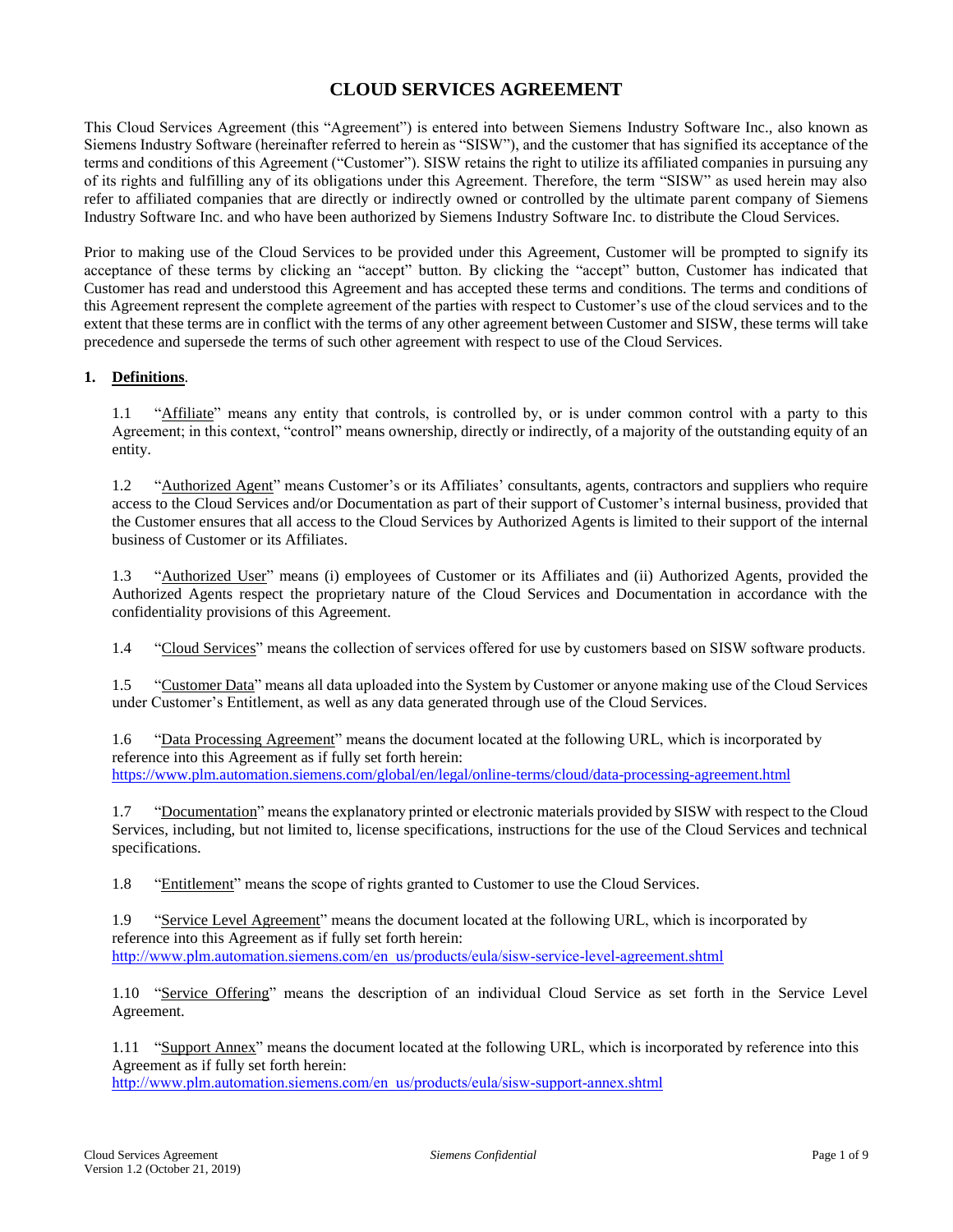# **CLOUD SERVICES AGREEMENT**

This Cloud Services Agreement (this "Agreement") is entered into between Siemens Industry Software Inc., also known as Siemens Industry Software (hereinafter referred to herein as "SISW"), and the customer that has signified its acceptance of the terms and conditions of this Agreement ("Customer"). SISW retains the right to utilize its affiliated companies in pursuing any of its rights and fulfilling any of its obligations under this Agreement. Therefore, the term "SISW" as used herein may also refer to affiliated companies that are directly or indirectly owned or controlled by the ultimate parent company of Siemens Industry Software Inc. and who have been authorized by Siemens Industry Software Inc. to distribute the Cloud Services.

Prior to making use of the Cloud Services to be provided under this Agreement, Customer will be prompted to signify its acceptance of these terms by clicking an "accept" button. By clicking the "accept" button, Customer has indicated that Customer has read and understood this Agreement and has accepted these terms and conditions. The terms and conditions of this Agreement represent the complete agreement of the parties with respect to Customer's use of the cloud services and to the extent that these terms are in conflict with the terms of any other agreement between Customer and SISW, these terms will take precedence and supersede the terms of such other agreement with respect to use of the Cloud Services.

#### **1. Definitions**.

1.1 "Affiliate" means any entity that controls, is controlled by, or is under common control with a party to this Agreement; in this context, "control" means ownership, directly or indirectly, of a majority of the outstanding equity of an entity.

1.2 "Authorized Agent" means Customer's or its Affiliates' consultants, agents, contractors and suppliers who require access to the Cloud Services and/or Documentation as part of their support of Customer's internal business, provided that the Customer ensures that all access to the Cloud Services by Authorized Agents is limited to their support of the internal business of Customer or its Affiliates.

1.3 "Authorized User" means (i) employees of Customer or its Affiliates and (ii) Authorized Agents, provided the Authorized Agents respect the proprietary nature of the Cloud Services and Documentation in accordance with the confidentiality provisions of this Agreement.

1.4 "Cloud Services" means the collection of services offered for use by customers based on SISW software products.

1.5 "Customer Data" means all data uploaded into the System by Customer or anyone making use of the Cloud Services under Customer's Entitlement, as well as any data generated through use of the Cloud Services.

1.6 "Data Processing Agreement" means the document located at the following URL, which is incorporated by reference into this Agreement as if fully set forth herein: <https://www.plm.automation.siemens.com/global/en/legal/online-terms/cloud/data-processing-agreement.html>

1.7 "Documentation" means the explanatory printed or electronic materials provided by SISW with respect to the Cloud Services, including, but not limited to, license specifications, instructions for the use of the Cloud Services and technical specifications.

1.8 "Entitlement" means the scope of rights granted to Customer to use the Cloud Services.

1.9 "Service Level Agreement" means the document located at the following URL, which is incorporated by reference into this Agreement as if fully set forth herein: [http://www.plm.automation.siemens.com/en\\_us/products/eula/sisw-service-level-agreement.shtml](http://www.plm.automation.siemens.com/en_us/products/eula/sisw-service-level-agreement.shtml)

1.10 "Service Offering" means the description of an individual Cloud Service as set forth in the Service Level Agreement.

1.11 "Support Annex" means the document located at the following URL, which is incorporated by reference into this Agreement as if fully set forth herein:

[http://www.plm.automation.siemens.com/en\\_us/products/eula/sisw-support-annex.shtml](http://www.plm.automation.siemens.com/en_us/products/eula/sisw-support-annex.shtml)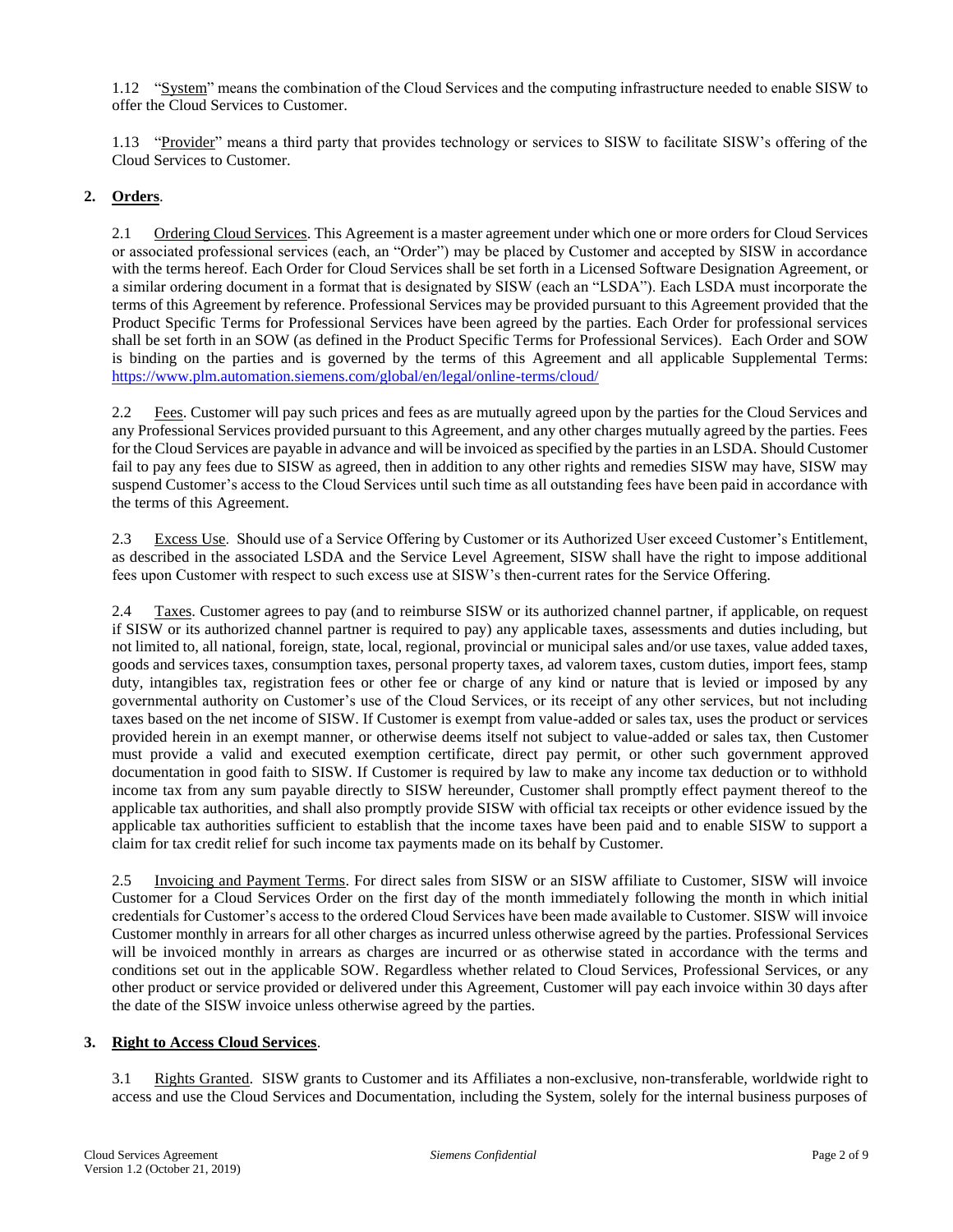1.12 "System" means the combination of the Cloud Services and the computing infrastructure needed to enable SISW to offer the Cloud Services to Customer.

1.13 "Provider" means a third party that provides technology or services to SISW to facilitate SISW's offering of the Cloud Services to Customer.

## **2. Orders**.

2.1 Ordering Cloud Services. This Agreement is a master agreement under which one or more orders for Cloud Services or associated professional services (each, an "Order") may be placed by Customer and accepted by SISW in accordance with the terms hereof. Each Order for Cloud Services shall be set forth in a Licensed Software Designation Agreement, or a similar ordering document in a format that is designated by SISW (each an "LSDA"). Each LSDA must incorporate the terms of this Agreement by reference. Professional Services may be provided pursuant to this Agreement provided that the Product Specific Terms for Professional Services have been agreed by the parties. Each Order for professional services shall be set forth in an SOW (as defined in the Product Specific Terms for Professional Services). Each Order and SOW is binding on the parties and is governed by the terms of this Agreement and all applicable Supplemental Terms: <https://www.plm.automation.siemens.com/global/en/legal/online-terms/cloud/>

2.2 Fees. Customer will pay such prices and fees as are mutually agreed upon by the parties for the Cloud Services and any Professional Services provided pursuant to this Agreement, and any other charges mutually agreed by the parties. Fees for the Cloud Services are payable in advance and will be invoiced as specified by the parties in an LSDA. Should Customer fail to pay any fees due to SISW as agreed, then in addition to any other rights and remedies SISW may have, SISW may suspend Customer's access to the Cloud Services until such time as all outstanding fees have been paid in accordance with the terms of this Agreement.

2.3 Excess Use. Should use of a Service Offering by Customer or its Authorized User exceed Customer's Entitlement, as described in the associated LSDA and the Service Level Agreement, SISW shall have the right to impose additional fees upon Customer with respect to such excess use at SISW's then-current rates for the Service Offering.

2.4 Taxes. Customer agrees to pay (and to reimburse SISW or its authorized channel partner, if applicable, on request if SISW or its authorized channel partner is required to pay) any applicable taxes, assessments and duties including, but not limited to, all national, foreign, state, local, regional, provincial or municipal sales and/or use taxes, value added taxes, goods and services taxes, consumption taxes, personal property taxes, ad valorem taxes, custom duties, import fees, stamp duty, intangibles tax, registration fees or other fee or charge of any kind or nature that is levied or imposed by any governmental authority on Customer's use of the Cloud Services, or its receipt of any other services, but not including taxes based on the net income of SISW. If Customer is exempt from value-added or sales tax, uses the product or services provided herein in an exempt manner, or otherwise deems itself not subject to value-added or sales tax, then Customer must provide a valid and executed exemption certificate, direct pay permit, or other such government approved documentation in good faith to SISW. If Customer is required by law to make any income tax deduction or to withhold income tax from any sum payable directly to SISW hereunder, Customer shall promptly effect payment thereof to the applicable tax authorities, and shall also promptly provide SISW with official tax receipts or other evidence issued by the applicable tax authorities sufficient to establish that the income taxes have been paid and to enable SISW to support a claim for tax credit relief for such income tax payments made on its behalf by Customer.

2.5 Invoicing and Payment Terms. For direct sales from SISW or an SISW affiliate to Customer, SISW will invoice Customer for a Cloud Services Order on the first day of the month immediately following the month in which initial credentials for Customer's access to the ordered Cloud Services have been made available to Customer. SISW will invoice Customer monthly in arrears for all other charges as incurred unless otherwise agreed by the parties. Professional Services will be invoiced monthly in arrears as charges are incurred or as otherwise stated in accordance with the terms and conditions set out in the applicable SOW. Regardless whether related to Cloud Services, Professional Services, or any other product or service provided or delivered under this Agreement, Customer will pay each invoice within 30 days after the date of the SISW invoice unless otherwise agreed by the parties.

### **3. Right to Access Cloud Services**.

3.1 Rights Granted. SISW grants to Customer and its Affiliates a non-exclusive, non-transferable, worldwide right to access and use the Cloud Services and Documentation, including the System, solely for the internal business purposes of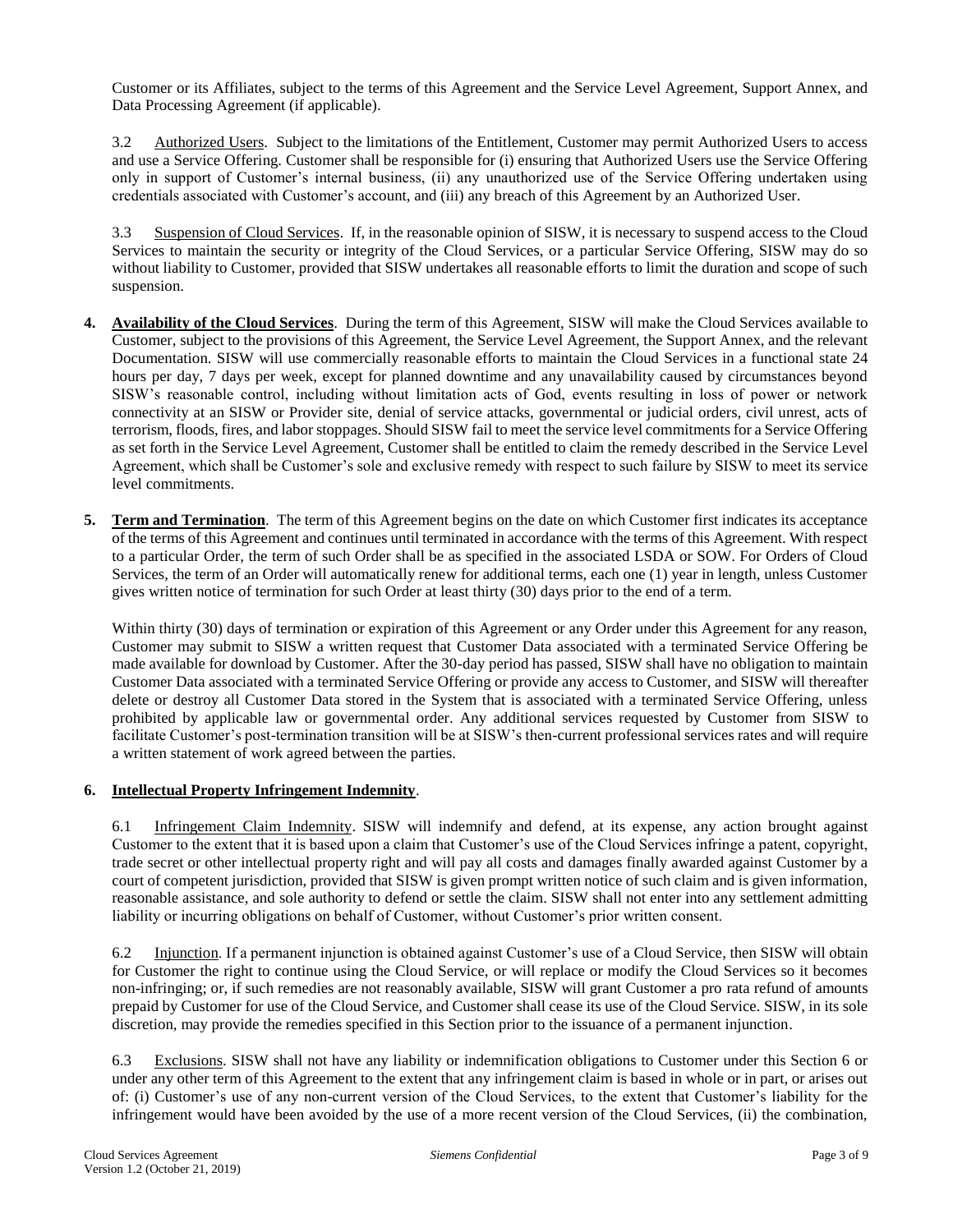Customer or its Affiliates, subject to the terms of this Agreement and the Service Level Agreement, Support Annex, and Data Processing Agreement (if applicable).

3.2 Authorized Users. Subject to the limitations of the Entitlement, Customer may permit Authorized Users to access and use a Service Offering. Customer shall be responsible for (i) ensuring that Authorized Users use the Service Offering only in support of Customer's internal business, (ii) any unauthorized use of the Service Offering undertaken using credentials associated with Customer's account, and (iii) any breach of this Agreement by an Authorized User.

3.3 Suspension of Cloud Services. If, in the reasonable opinion of SISW, it is necessary to suspend access to the Cloud Services to maintain the security or integrity of the Cloud Services, or a particular Service Offering, SISW may do so without liability to Customer, provided that SISW undertakes all reasonable efforts to limit the duration and scope of such suspension.

- **4. Availability of the Cloud Services**. During the term of this Agreement, SISW will make the Cloud Services available to Customer, subject to the provisions of this Agreement, the Service Level Agreement, the Support Annex, and the relevant Documentation. SISW will use commercially reasonable efforts to maintain the Cloud Services in a functional state 24 hours per day, 7 days per week, except for planned downtime and any unavailability caused by circumstances beyond SISW's reasonable control, including without limitation acts of God, events resulting in loss of power or network connectivity at an SISW or Provider site, denial of service attacks, governmental or judicial orders, civil unrest, acts of terrorism, floods, fires, and labor stoppages. Should SISW fail to meet the service level commitments for a Service Offering as set forth in the Service Level Agreement, Customer shall be entitled to claim the remedy described in the Service Level Agreement, which shall be Customer's sole and exclusive remedy with respect to such failure by SISW to meet its service level commitments.
- **5. Term and Termination**. The term of this Agreement begins on the date on which Customer first indicates its acceptance of the terms of this Agreement and continues until terminated in accordance with the terms of this Agreement. With respect to a particular Order, the term of such Order shall be as specified in the associated LSDA or SOW. For Orders of Cloud Services, the term of an Order will automatically renew for additional terms, each one (1) year in length, unless Customer gives written notice of termination for such Order at least thirty (30) days prior to the end of a term.

Within thirty (30) days of termination or expiration of this Agreement or any Order under this Agreement for any reason, Customer may submit to SISW a written request that Customer Data associated with a terminated Service Offering be made available for download by Customer. After the 30-day period has passed, SISW shall have no obligation to maintain Customer Data associated with a terminated Service Offering or provide any access to Customer, and SISW will thereafter delete or destroy all Customer Data stored in the System that is associated with a terminated Service Offering, unless prohibited by applicable law or governmental order. Any additional services requested by Customer from SISW to facilitate Customer's post-termination transition will be at SISW's then-current professional services rates and will require a written statement of work agreed between the parties.

### **6. Intellectual Property Infringement Indemnity**.

6.1 Infringement Claim Indemnity. SISW will indemnify and defend, at its expense, any action brought against Customer to the extent that it is based upon a claim that Customer's use of the Cloud Services infringe a patent, copyright, trade secret or other intellectual property right and will pay all costs and damages finally awarded against Customer by a court of competent jurisdiction, provided that SISW is given prompt written notice of such claim and is given information, reasonable assistance, and sole authority to defend or settle the claim. SISW shall not enter into any settlement admitting liability or incurring obligations on behalf of Customer, without Customer's prior written consent.

6.2 Injunction. If a permanent injunction is obtained against Customer's use of a Cloud Service, then SISW will obtain for Customer the right to continue using the Cloud Service, or will replace or modify the Cloud Services so it becomes non-infringing; or, if such remedies are not reasonably available, SISW will grant Customer a pro rata refund of amounts prepaid by Customer for use of the Cloud Service, and Customer shall cease its use of the Cloud Service. SISW, in its sole discretion, may provide the remedies specified in this Section prior to the issuance of a permanent injunction.

6.3 Exclusions. SISW shall not have any liability or indemnification obligations to Customer under this Section 6 or under any other term of this Agreement to the extent that any infringement claim is based in whole or in part, or arises out of: (i) Customer's use of any non-current version of the Cloud Services, to the extent that Customer's liability for the infringement would have been avoided by the use of a more recent version of the Cloud Services, (ii) the combination,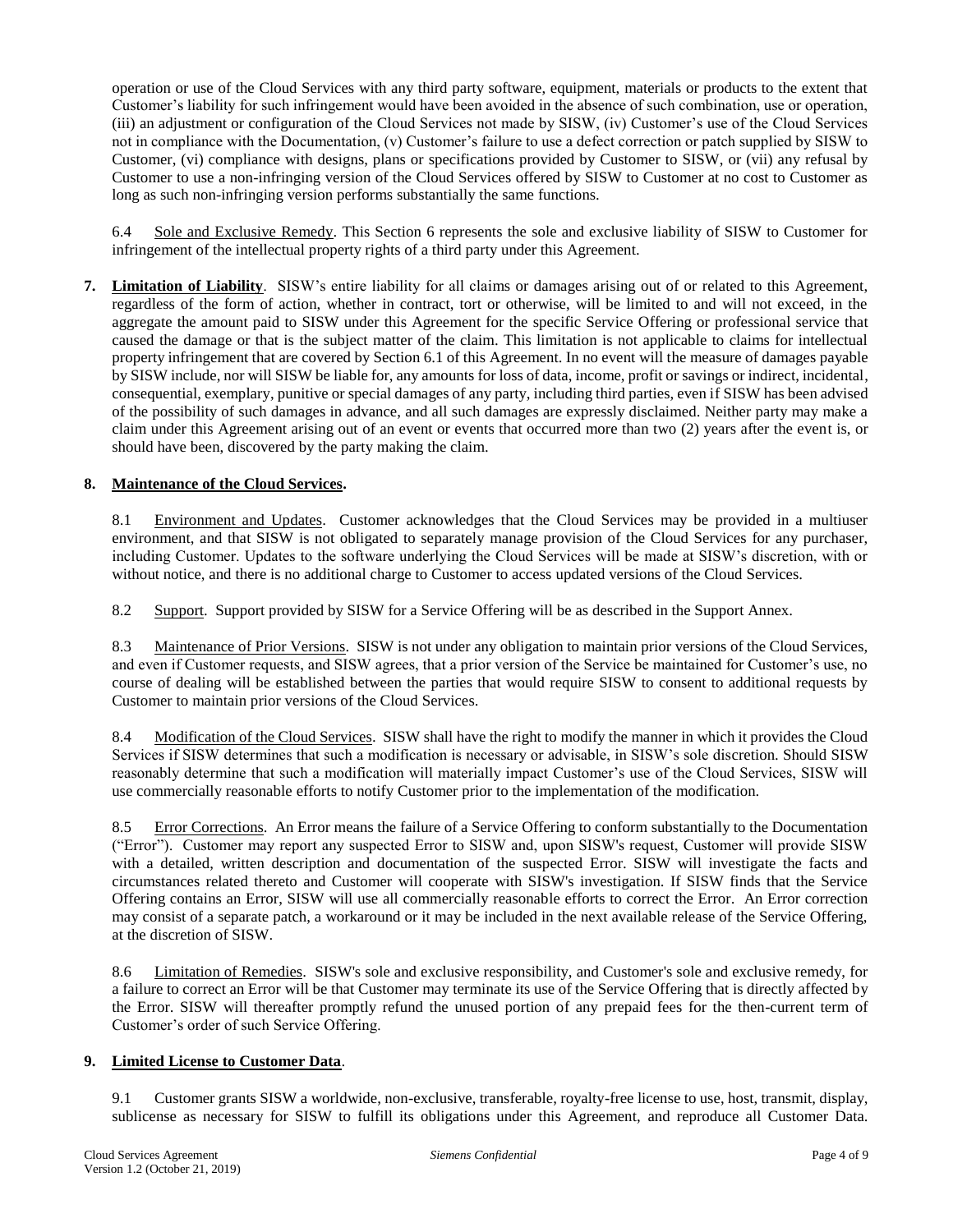operation or use of the Cloud Services with any third party software, equipment, materials or products to the extent that Customer's liability for such infringement would have been avoided in the absence of such combination, use or operation, (iii) an adjustment or configuration of the Cloud Services not made by SISW, (iv) Customer's use of the Cloud Services not in compliance with the Documentation, (v) Customer's failure to use a defect correction or patch supplied by SISW to Customer, (vi) compliance with designs, plans or specifications provided by Customer to SISW, or (vii) any refusal by Customer to use a non-infringing version of the Cloud Services offered by SISW to Customer at no cost to Customer as long as such non-infringing version performs substantially the same functions.

6.4 Sole and Exclusive Remedy. This Section 6 represents the sole and exclusive liability of SISW to Customer for infringement of the intellectual property rights of a third party under this Agreement.

**7. Limitation of Liability**. SISW's entire liability for all claims or damages arising out of or related to this Agreement, regardless of the form of action, whether in contract, tort or otherwise, will be limited to and will not exceed, in the aggregate the amount paid to SISW under this Agreement for the specific Service Offering or professional service that caused the damage or that is the subject matter of the claim. This limitation is not applicable to claims for intellectual property infringement that are covered by Section 6.1 of this Agreement. In no event will the measure of damages payable by SISW include, nor will SISW be liable for, any amounts for loss of data, income, profit or savings or indirect, incidental, consequential, exemplary, punitive or special damages of any party, including third parties, even if SISW has been advised of the possibility of such damages in advance, and all such damages are expressly disclaimed. Neither party may make a claim under this Agreement arising out of an event or events that occurred more than two (2) years after the event is, or should have been, discovered by the party making the claim.

## **8. Maintenance of the Cloud Services.**

8.1 Environment and Updates. Customer acknowledges that the Cloud Services may be provided in a multiuser environment, and that SISW is not obligated to separately manage provision of the Cloud Services for any purchaser, including Customer. Updates to the software underlying the Cloud Services will be made at SISW's discretion, with or without notice, and there is no additional charge to Customer to access updated versions of the Cloud Services.

8.2 Support. Support provided by SISW for a Service Offering will be as described in the Support Annex.

8.3 Maintenance of Prior Versions. SISW is not under any obligation to maintain prior versions of the Cloud Services, and even if Customer requests, and SISW agrees, that a prior version of the Service be maintained for Customer's use, no course of dealing will be established between the parties that would require SISW to consent to additional requests by Customer to maintain prior versions of the Cloud Services.

8.4 Modification of the Cloud Services. SISW shall have the right to modify the manner in which it provides the Cloud Services if SISW determines that such a modification is necessary or advisable, in SISW's sole discretion. Should SISW reasonably determine that such a modification will materially impact Customer's use of the Cloud Services, SISW will use commercially reasonable efforts to notify Customer prior to the implementation of the modification.

8.5 Error Corrections. An Error means the failure of a Service Offering to conform substantially to the Documentation ("Error"). Customer may report any suspected Error to SISW and, upon SISW's request, Customer will provide SISW with a detailed, written description and documentation of the suspected Error. SISW will investigate the facts and circumstances related thereto and Customer will cooperate with SISW's investigation. If SISW finds that the Service Offering contains an Error, SISW will use all commercially reasonable efforts to correct the Error. An Error correction may consist of a separate patch, a workaround or it may be included in the next available release of the Service Offering, at the discretion of SISW.

8.6 Limitation of Remedies. SISW's sole and exclusive responsibility, and Customer's sole and exclusive remedy, for a failure to correct an Error will be that Customer may terminate its use of the Service Offering that is directly affected by the Error. SISW will thereafter promptly refund the unused portion of any prepaid fees for the then-current term of Customer's order of such Service Offering.

### **9. Limited License to Customer Data**.

9.1 Customer grants SISW a worldwide, non-exclusive, transferable, royalty-free license to use, host, transmit, display, sublicense as necessary for SISW to fulfill its obligations under this Agreement, and reproduce all Customer Data.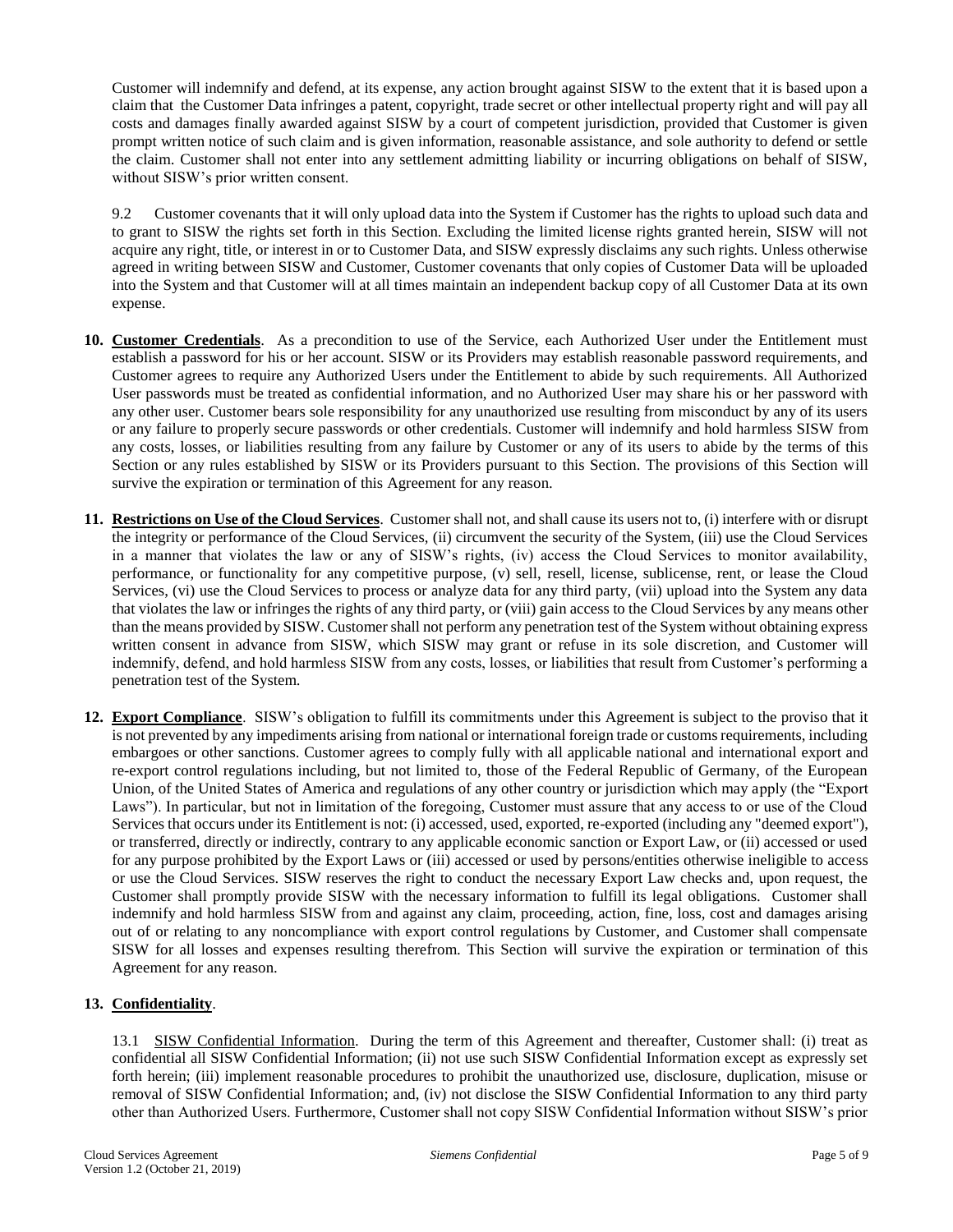Customer will indemnify and defend, at its expense, any action brought against SISW to the extent that it is based upon a claim that the Customer Data infringes a patent, copyright, trade secret or other intellectual property right and will pay all costs and damages finally awarded against SISW by a court of competent jurisdiction, provided that Customer is given prompt written notice of such claim and is given information, reasonable assistance, and sole authority to defend or settle the claim. Customer shall not enter into any settlement admitting liability or incurring obligations on behalf of SISW, without SISW's prior written consent.

9.2 Customer covenants that it will only upload data into the System if Customer has the rights to upload such data and to grant to SISW the rights set forth in this Section. Excluding the limited license rights granted herein, SISW will not acquire any right, title, or interest in or to Customer Data, and SISW expressly disclaims any such rights. Unless otherwise agreed in writing between SISW and Customer, Customer covenants that only copies of Customer Data will be uploaded into the System and that Customer will at all times maintain an independent backup copy of all Customer Data at its own expense.

- **10. Customer Credentials**. As a precondition to use of the Service, each Authorized User under the Entitlement must establish a password for his or her account. SISW or its Providers may establish reasonable password requirements, and Customer agrees to require any Authorized Users under the Entitlement to abide by such requirements. All Authorized User passwords must be treated as confidential information, and no Authorized User may share his or her password with any other user. Customer bears sole responsibility for any unauthorized use resulting from misconduct by any of its users or any failure to properly secure passwords or other credentials. Customer will indemnify and hold harmless SISW from any costs, losses, or liabilities resulting from any failure by Customer or any of its users to abide by the terms of this Section or any rules established by SISW or its Providers pursuant to this Section. The provisions of this Section will survive the expiration or termination of this Agreement for any reason.
- **11. Restrictions on Use of the Cloud Services**. Customer shall not, and shall cause its users not to, (i) interfere with or disrupt the integrity or performance of the Cloud Services, (ii) circumvent the security of the System, (iii) use the Cloud Services in a manner that violates the law or any of SISW's rights, (iv) access the Cloud Services to monitor availability, performance, or functionality for any competitive purpose, (v) sell, resell, license, sublicense, rent, or lease the Cloud Services, (vi) use the Cloud Services to process or analyze data for any third party, (vii) upload into the System any data that violates the law or infringes the rights of any third party, or (viii) gain access to the Cloud Services by any means other than the means provided by SISW. Customer shall not perform any penetration test of the System without obtaining express written consent in advance from SISW, which SISW may grant or refuse in its sole discretion, and Customer will indemnify, defend, and hold harmless SISW from any costs, losses, or liabilities that result from Customer's performing a penetration test of the System.
- **12. Export Compliance**. SISW's obligation to fulfill its commitments under this Agreement is subject to the proviso that it is not prevented by any impediments arising from national or international foreign trade or customs requirements, including embargoes or other sanctions. Customer agrees to comply fully with all applicable national and international export and re-export control regulations including, but not limited to, those of the Federal Republic of Germany, of the European Union, of the United States of America and regulations of any other country or jurisdiction which may apply (the "Export Laws"). In particular, but not in limitation of the foregoing, Customer must assure that any access to or use of the Cloud Services that occurs under its Entitlement is not: (i) accessed, used, exported, re-exported (including any "deemed export"), or transferred, directly or indirectly, contrary to any applicable economic sanction or Export Law, or (ii) accessed or used for any purpose prohibited by the Export Laws or (iii) accessed or used by persons/entities otherwise ineligible to access or use the Cloud Services. SISW reserves the right to conduct the necessary Export Law checks and, upon request, the Customer shall promptly provide SISW with the necessary information to fulfill its legal obligations. Customer shall indemnify and hold harmless SISW from and against any claim, proceeding, action, fine, loss, cost and damages arising out of or relating to any noncompliance with export control regulations by Customer, and Customer shall compensate SISW for all losses and expenses resulting therefrom. This Section will survive the expiration or termination of this Agreement for any reason.

### **13. Confidentiality**.

13.1 SISW Confidential Information. During the term of this Agreement and thereafter, Customer shall: (i) treat as confidential all SISW Confidential Information; (ii) not use such SISW Confidential Information except as expressly set forth herein; (iii) implement reasonable procedures to prohibit the unauthorized use, disclosure, duplication, misuse or removal of SISW Confidential Information; and, (iv) not disclose the SISW Confidential Information to any third party other than Authorized Users. Furthermore, Customer shall not copy SISW Confidential Information without SISW's prior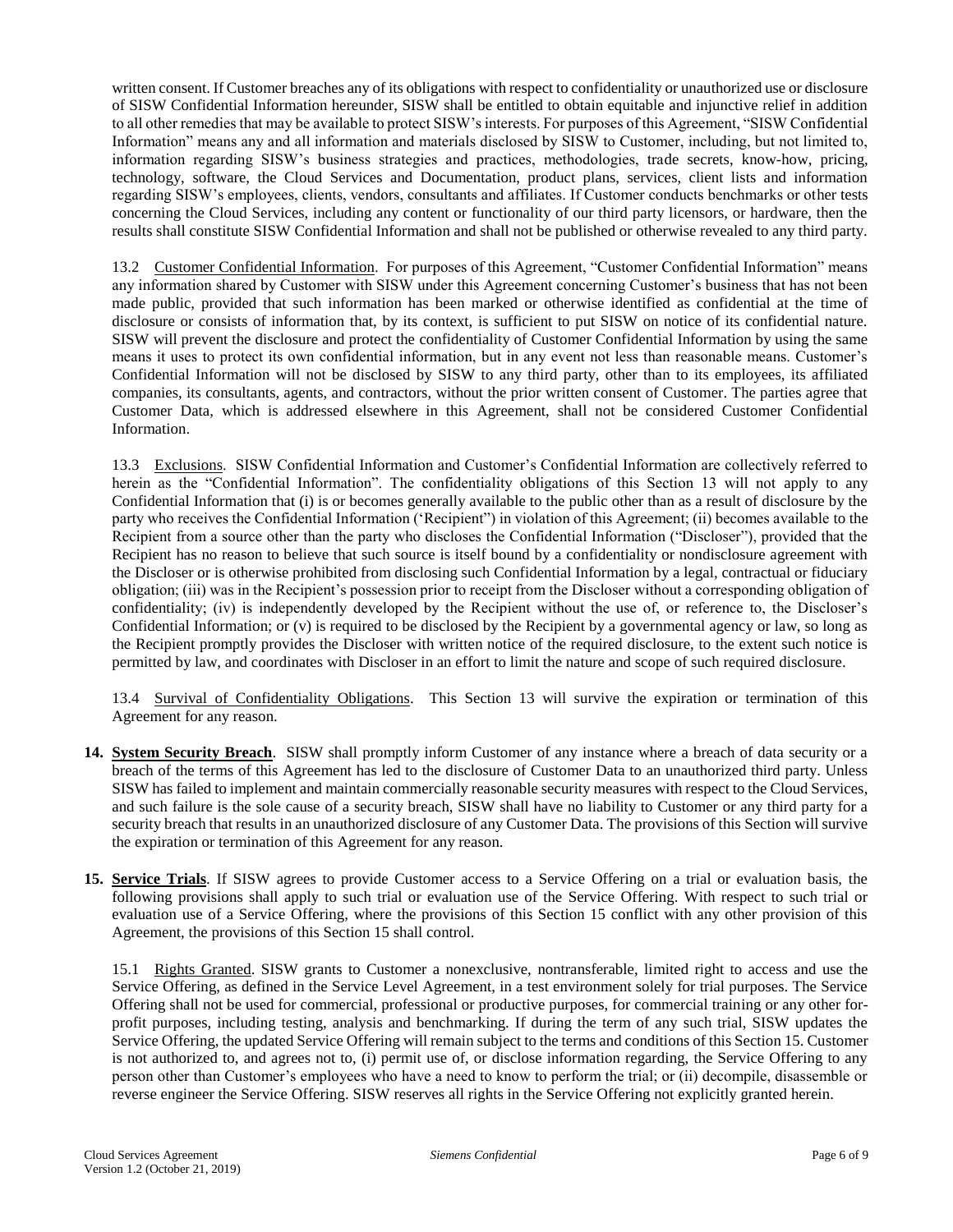written consent. If Customer breaches any of its obligations with respect to confidentiality or unauthorized use or disclosure of SISW Confidential Information hereunder, SISW shall be entitled to obtain equitable and injunctive relief in addition to all other remedies that may be available to protect SISW's interests. For purposes of this Agreement, "SISW Confidential Information" means any and all information and materials disclosed by SISW to Customer, including, but not limited to, information regarding SISW's business strategies and practices, methodologies, trade secrets, know-how, pricing, technology, software, the Cloud Services and Documentation, product plans, services, client lists and information regarding SISW's employees, clients, vendors, consultants and affiliates. If Customer conducts benchmarks or other tests concerning the Cloud Services, including any content or functionality of our third party licensors, or hardware, then the results shall constitute SISW Confidential Information and shall not be published or otherwise revealed to any third party.

13.2 Customer Confidential Information. For purposes of this Agreement, "Customer Confidential Information" means any information shared by Customer with SISW under this Agreement concerning Customer's business that has not been made public, provided that such information has been marked or otherwise identified as confidential at the time of disclosure or consists of information that, by its context, is sufficient to put SISW on notice of its confidential nature. SISW will prevent the disclosure and protect the confidentiality of Customer Confidential Information by using the same means it uses to protect its own confidential information, but in any event not less than reasonable means. Customer's Confidential Information will not be disclosed by SISW to any third party, other than to its employees, its affiliated companies, its consultants, agents, and contractors, without the prior written consent of Customer. The parties agree that Customer Data, which is addressed elsewhere in this Agreement, shall not be considered Customer Confidential Information.

13.3 Exclusions. SISW Confidential Information and Customer's Confidential Information are collectively referred to herein as the "Confidential Information". The confidentiality obligations of this Section 13 will not apply to any Confidential Information that (i) is or becomes generally available to the public other than as a result of disclosure by the party who receives the Confidential Information ('Recipient") in violation of this Agreement; (ii) becomes available to the Recipient from a source other than the party who discloses the Confidential Information ("Discloser"), provided that the Recipient has no reason to believe that such source is itself bound by a confidentiality or nondisclosure agreement with the Discloser or is otherwise prohibited from disclosing such Confidential Information by a legal, contractual or fiduciary obligation; (iii) was in the Recipient's possession prior to receipt from the Discloser without a corresponding obligation of confidentiality; (iv) is independently developed by the Recipient without the use of, or reference to, the Discloser's Confidential Information; or (v) is required to be disclosed by the Recipient by a governmental agency or law, so long as the Recipient promptly provides the Discloser with written notice of the required disclosure, to the extent such notice is permitted by law, and coordinates with Discloser in an effort to limit the nature and scope of such required disclosure.

13.4 Survival of Confidentiality Obligations. This Section 13 will survive the expiration or termination of this Agreement for any reason.

- **14. System Security Breach**. SISW shall promptly inform Customer of any instance where a breach of data security or a breach of the terms of this Agreement has led to the disclosure of Customer Data to an unauthorized third party. Unless SISW has failed to implement and maintain commercially reasonable security measures with respect to the Cloud Services, and such failure is the sole cause of a security breach, SISW shall have no liability to Customer or any third party for a security breach that results in an unauthorized disclosure of any Customer Data. The provisions of this Section will survive the expiration or termination of this Agreement for any reason.
- **15. Service Trials**. If SISW agrees to provide Customer access to a Service Offering on a trial or evaluation basis, the following provisions shall apply to such trial or evaluation use of the Service Offering. With respect to such trial or evaluation use of a Service Offering, where the provisions of this Section 15 conflict with any other provision of this Agreement, the provisions of this Section 15 shall control.

15.1 Rights Granted. SISW grants to Customer a nonexclusive, nontransferable, limited right to access and use the Service Offering, as defined in the Service Level Agreement, in a test environment solely for trial purposes. The Service Offering shall not be used for commercial, professional or productive purposes, for commercial training or any other forprofit purposes, including testing, analysis and benchmarking. If during the term of any such trial, SISW updates the Service Offering, the updated Service Offering will remain subject to the terms and conditions of this Section 15. Customer is not authorized to, and agrees not to, (i) permit use of, or disclose information regarding, the Service Offering to any person other than Customer's employees who have a need to know to perform the trial; or (ii) decompile, disassemble or reverse engineer the Service Offering. SISW reserves all rights in the Service Offering not explicitly granted herein.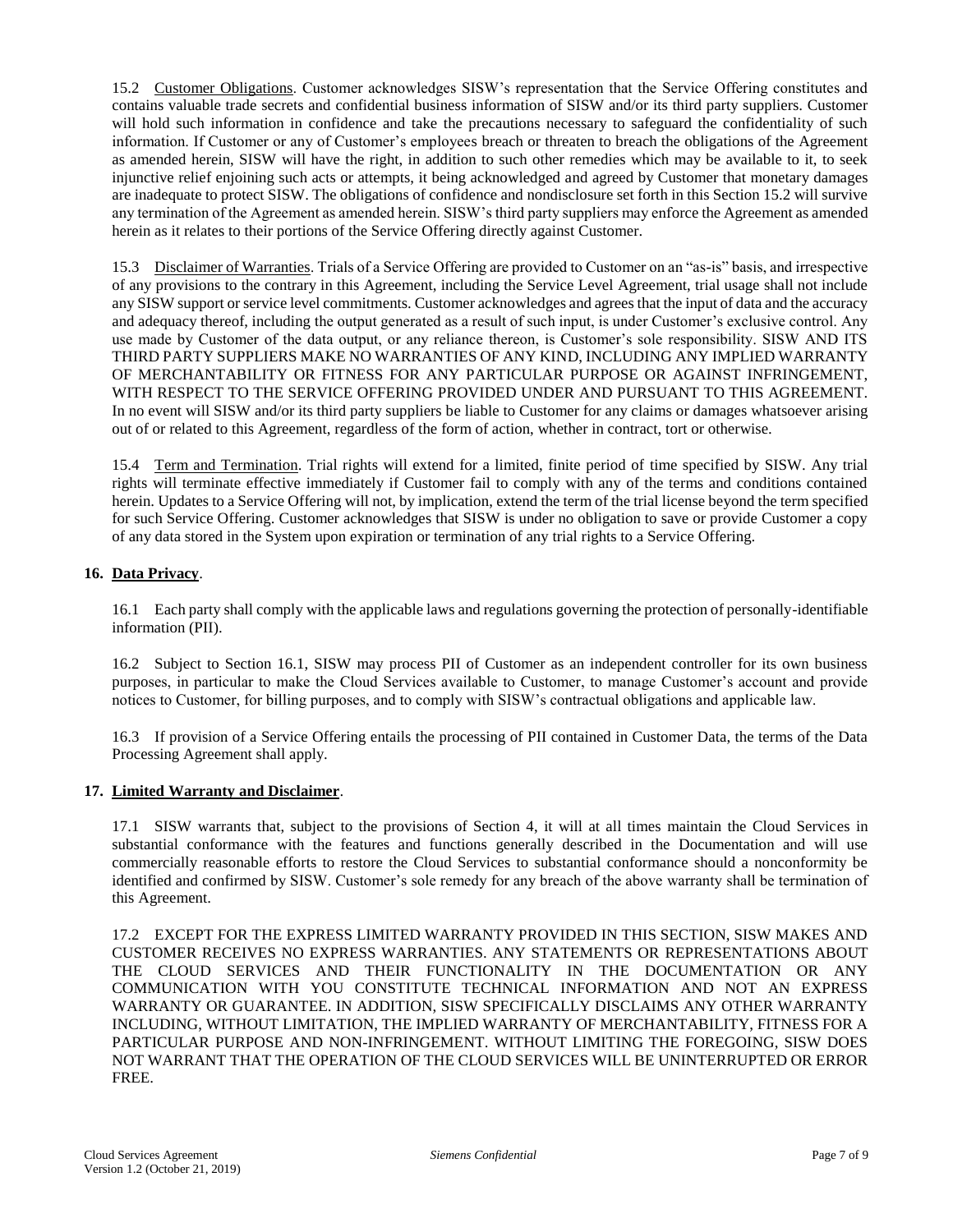15.2 Customer Obligations. Customer acknowledges SISW's representation that the Service Offering constitutes and contains valuable trade secrets and confidential business information of SISW and/or its third party suppliers. Customer will hold such information in confidence and take the precautions necessary to safeguard the confidentiality of such information. If Customer or any of Customer's employees breach or threaten to breach the obligations of the Agreement as amended herein, SISW will have the right, in addition to such other remedies which may be available to it, to seek injunctive relief enjoining such acts or attempts, it being acknowledged and agreed by Customer that monetary damages are inadequate to protect SISW. The obligations of confidence and nondisclosure set forth in this Section 15.2 will survive any termination of the Agreement as amended herein. SISW's third party suppliers may enforce the Agreement as amended herein as it relates to their portions of the Service Offering directly against Customer.

15.3 Disclaimer of Warranties. Trials of a Service Offering are provided to Customer on an "as-is" basis, and irrespective of any provisions to the contrary in this Agreement, including the Service Level Agreement, trial usage shall not include any SISW support or service level commitments. Customer acknowledges and agrees that the input of data and the accuracy and adequacy thereof, including the output generated as a result of such input, is under Customer's exclusive control. Any use made by Customer of the data output, or any reliance thereon, is Customer's sole responsibility. SISW AND ITS THIRD PARTY SUPPLIERS MAKE NO WARRANTIES OF ANY KIND, INCLUDING ANY IMPLIED WARRANTY OF MERCHANTABILITY OR FITNESS FOR ANY PARTICULAR PURPOSE OR AGAINST INFRINGEMENT, WITH RESPECT TO THE SERVICE OFFERING PROVIDED UNDER AND PURSUANT TO THIS AGREEMENT. In no event will SISW and/or its third party suppliers be liable to Customer for any claims or damages whatsoever arising out of or related to this Agreement, regardless of the form of action, whether in contract, tort or otherwise.

15.4 Term and Termination. Trial rights will extend for a limited, finite period of time specified by SISW. Any trial rights will terminate effective immediately if Customer fail to comply with any of the terms and conditions contained herein. Updates to a Service Offering will not, by implication, extend the term of the trial license beyond the term specified for such Service Offering. Customer acknowledges that SISW is under no obligation to save or provide Customer a copy of any data stored in the System upon expiration or termination of any trial rights to a Service Offering.

## **16. Data Privacy**.

16.1 Each party shall comply with the applicable laws and regulations governing the protection of personally-identifiable information (PII).

16.2 Subject to Section 16.1, SISW may process PII of Customer as an independent controller for its own business purposes, in particular to make the Cloud Services available to Customer, to manage Customer's account and provide notices to Customer, for billing purposes, and to comply with SISW's contractual obligations and applicable law.

16.3 If provision of a Service Offering entails the processing of PII contained in Customer Data, the terms of the Data Processing Agreement shall apply.

### **17. Limited Warranty and Disclaimer**.

17.1 SISW warrants that, subject to the provisions of Section 4, it will at all times maintain the Cloud Services in substantial conformance with the features and functions generally described in the Documentation and will use commercially reasonable efforts to restore the Cloud Services to substantial conformance should a nonconformity be identified and confirmed by SISW. Customer's sole remedy for any breach of the above warranty shall be termination of this Agreement.

17.2 EXCEPT FOR THE EXPRESS LIMITED WARRANTY PROVIDED IN THIS SECTION, SISW MAKES AND CUSTOMER RECEIVES NO EXPRESS WARRANTIES. ANY STATEMENTS OR REPRESENTATIONS ABOUT THE CLOUD SERVICES AND THEIR FUNCTIONALITY IN THE DOCUMENTATION OR ANY COMMUNICATION WITH YOU CONSTITUTE TECHNICAL INFORMATION AND NOT AN EXPRESS WARRANTY OR GUARANTEE. IN ADDITION, SISW SPECIFICALLY DISCLAIMS ANY OTHER WARRANTY INCLUDING, WITHOUT LIMITATION, THE IMPLIED WARRANTY OF MERCHANTABILITY, FITNESS FOR A PARTICULAR PURPOSE AND NON-INFRINGEMENT. WITHOUT LIMITING THE FOREGOING, SISW DOES NOT WARRANT THAT THE OPERATION OF THE CLOUD SERVICES WILL BE UNINTERRUPTED OR ERROR FREE.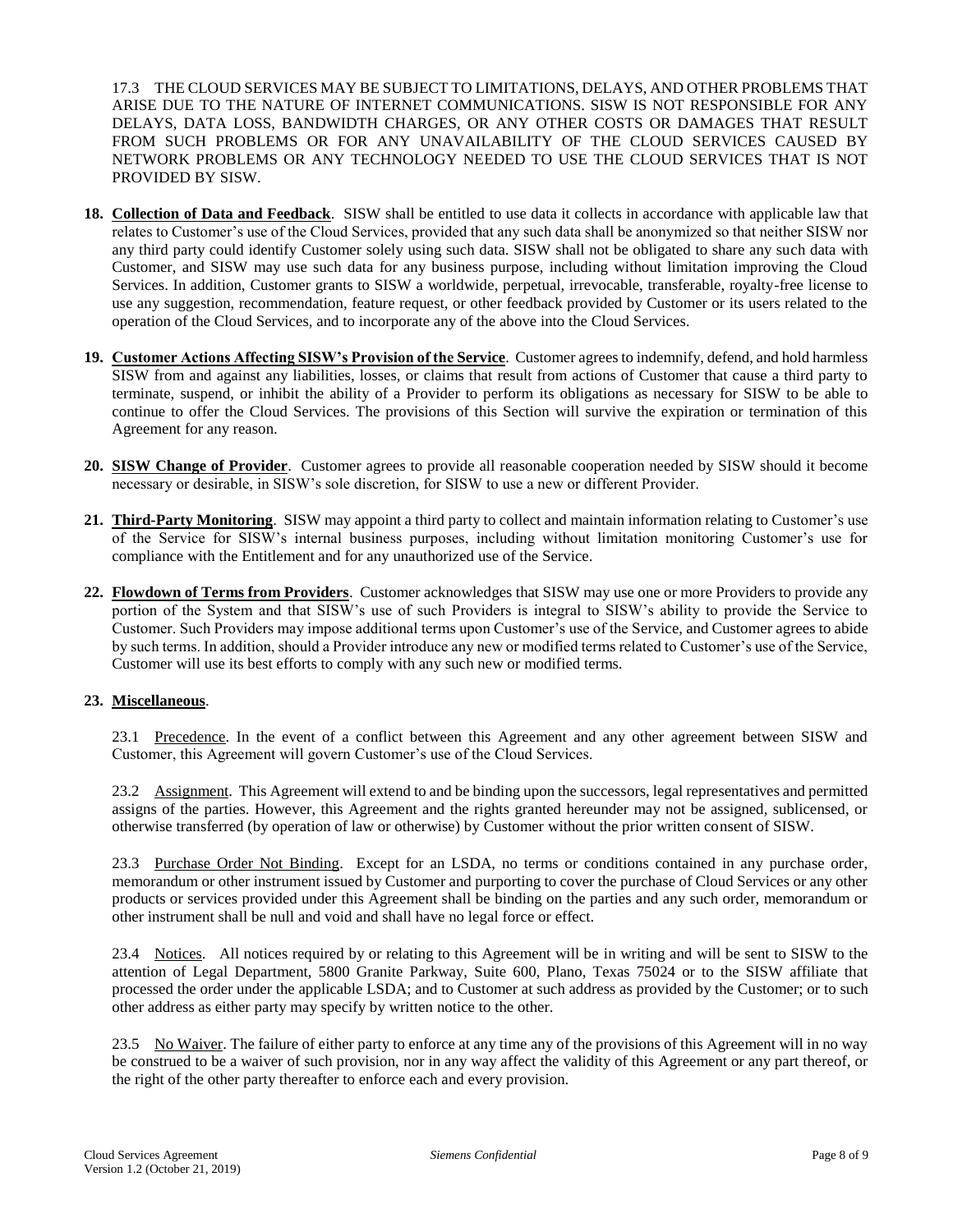17.3 THE CLOUD SERVICES MAY BE SUBJECT TO LIMITATIONS, DELAYS, AND OTHER PROBLEMS THAT ARISE DUE TO THE NATURE OF INTERNET COMMUNICATIONS. SISW IS NOT RESPONSIBLE FOR ANY DELAYS, DATA LOSS, BANDWIDTH CHARGES, OR ANY OTHER COSTS OR DAMAGES THAT RESULT FROM SUCH PROBLEMS OR FOR ANY UNAVAILABILITY OF THE CLOUD SERVICES CAUSED BY NETWORK PROBLEMS OR ANY TECHNOLOGY NEEDED TO USE THE CLOUD SERVICES THAT IS NOT PROVIDED BY SISW.

- **18. Collection of Data and Feedback**. SISW shall be entitled to use data it collects in accordance with applicable law that relates to Customer's use of the Cloud Services, provided that any such data shall be anonymized so that neither SISW nor any third party could identify Customer solely using such data. SISW shall not be obligated to share any such data with Customer, and SISW may use such data for any business purpose, including without limitation improving the Cloud Services. In addition, Customer grants to SISW a worldwide, perpetual, irrevocable, transferable, royalty-free license to use any suggestion, recommendation, feature request, or other feedback provided by Customer or its users related to the operation of the Cloud Services, and to incorporate any of the above into the Cloud Services.
- **19. Customer Actions Affecting SISW's Provision of the Service**. Customer agrees to indemnify, defend, and hold harmless SISW from and against any liabilities, losses, or claims that result from actions of Customer that cause a third party to terminate, suspend, or inhibit the ability of a Provider to perform its obligations as necessary for SISW to be able to continue to offer the Cloud Services. The provisions of this Section will survive the expiration or termination of this Agreement for any reason.
- **20. SISW Change of Provider**. Customer agrees to provide all reasonable cooperation needed by SISW should it become necessary or desirable, in SISW's sole discretion, for SISW to use a new or different Provider.
- **21. Third-Party Monitoring**. SISW may appoint a third party to collect and maintain information relating to Customer's use of the Service for SISW's internal business purposes, including without limitation monitoring Customer's use for compliance with the Entitlement and for any unauthorized use of the Service.
- **22. Flowdown of Terms from Providers**. Customer acknowledges that SISW may use one or more Providers to provide any portion of the System and that SISW's use of such Providers is integral to SISW's ability to provide the Service to Customer. Such Providers may impose additional terms upon Customer's use of the Service, and Customer agrees to abide by such terms. In addition, should a Provider introduce any new or modified terms related to Customer's use of the Service, Customer will use its best efforts to comply with any such new or modified terms.

### **23. Miscellaneous**.

23.1 Precedence. In the event of a conflict between this Agreement and any other agreement between SISW and Customer, this Agreement will govern Customer's use of the Cloud Services.

23.2 Assignment. This Agreement will extend to and be binding upon the successors, legal representatives and permitted assigns of the parties. However, this Agreement and the rights granted hereunder may not be assigned, sublicensed, or otherwise transferred (by operation of law or otherwise) by Customer without the prior written consent of SISW.

23.3 Purchase Order Not Binding. Except for an LSDA, no terms or conditions contained in any purchase order, memorandum or other instrument issued by Customer and purporting to cover the purchase of Cloud Services or any other products or services provided under this Agreement shall be binding on the parties and any such order, memorandum or other instrument shall be null and void and shall have no legal force or effect.

23.4 Notices. All notices required by or relating to this Agreement will be in writing and will be sent to SISW to the attention of Legal Department, 5800 Granite Parkway, Suite 600, Plano, Texas 75024 or to the SISW affiliate that processed the order under the applicable LSDA; and to Customer at such address as provided by the Customer; or to such other address as either party may specify by written notice to the other.

23.5 No Waiver. The failure of either party to enforce at any time any of the provisions of this Agreement will in no way be construed to be a waiver of such provision, nor in any way affect the validity of this Agreement or any part thereof, or the right of the other party thereafter to enforce each and every provision.